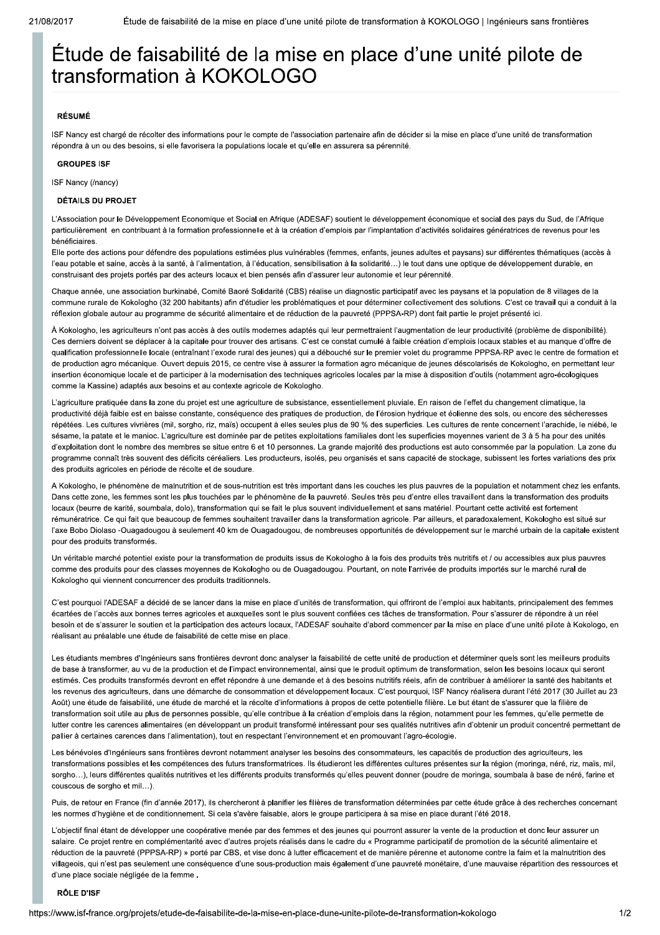# Étude de faisabilité de la mise en place d'une unité pilote de transformation à KOKOLOGO

# **RÉSUMÉ**

ISF Nancy est chargé de récolter des informations pour le compte de l'association partenaire afin de décider si la mise en place d'une unité de transformation répondra à un ou des besoins, si elle favorisera la populations locale et qu'elle en assurera sa pérennité.

#### **GROUPES ISE**

ISF Nancy (/nancy)

# **DÉTAILS DU PROJET**

L'Association pour le Développement Economique et Social en Afrique (ADESAF) soutient le développement économique et social des pays du Sud, de l'Afrique particulièrement en contribuant à la formation professionnelle et à la création d'emplois par l'implantation d'activités solidaires génératrices de revenus pour les hénéficiaires

Elle porte des actions pour défendre des populations estimées plus vulnérables (femmes, enfants, jeunes adultes et paysans) sur différentes thématiques (accès à l'eau potable et saine, accès à la santé, à l'alimentation, à l'éducation, sensibilisation à la solidarité...) le tout dans une optique de développement durable, en construisant des projets portés par des acteurs locaux et bien pensés afin d'assurer leur autonomie et leur pérennité.

Chaque année, une association burkinabé, Comité Baoré Solidarité (CBS) réalise un diagnostic participatif avec les paysans et la population de 8 villages de la commune rurale de Kokologho (32 200 habitants) afin d'étudier les problématiques et pour déterminer collectivement des solutions. C'est ce travail qui a conduit à la réflexion globale autour au programme de sécurité alimentaire et de réduction de la pauvreté (PPPSA-RP) dont fait partie le projet présenté ici.

À Kokologho, les agriculteurs n'ont pas accès à des outils modernes adaptés qui leur permettraient l'augmentation de leur productivité (problème de disponibilité). Ces derniers doivent se déplacer à la capitale pour trouver des artisans. C'est ce constat cumulé à faible création d'emplois locaux stables et au manque d'offre de qualification professionnelle locale (entraînant l'exode rural des jeunes) qui a débouché sur le premier volet du programme PPPSA-RP avec le centre de formation et de production agro mécanique. Ouvert depuis 2015, ce centre vise à assurer la formation agro mécanique de jeunes déscolarisés de Kokologho, en permettant leur insertion économique locale et de participer à la modernisation des techniques agricoles locales par la mise à disposition d'outils (notamment agro-écologiques comme la Kassine) adaptés aux besoins et au contexte agricole de Kokologho.

L'agriculture pratiquée dans la zone du projet est une agriculture de subsistance, essentiellement pluviale. En raison de l'effet du changement climatique, la productivité déjà faible est en baisse constante, conséquence des pratiques de production, de l'érosion hydrique et éolienne des sols, ou encore des sécheresses répétées. Les cultures vivrières (mil, sorgho, riz, maïs) occupent à elles seules plus de 90 % des superficies. Les cultures de rente concernent l'arachide, le niébé, le sésame, la patate et le manioc. L'agriculture est dominée par de petites exploitations familiales dont les superficies moyennes varient de 3 à 5 ha pour des unités d'exploitation dont le nombre des membres se situe entre 6 et 10 personnes. La grande majorité des productions est auto consommée par la population. La zone du programme connaît très souvent des déficits céréaliers. Les producteurs, isolés, peu organisés et sans capacité de stockage, subissent les fortes variations des prix des produits agricoles en période de récolte et de soudure.

A Kokologho, le phénomène de malnutrition et de sous-nutrition est très important dans les couches les plus pauvres de la population et notamment chez les enfants. Dans cette zone, les femmes sont les plus touchées par le phénomène de la pauvreté. Seules très peu d'entre elles travaillent dans la transformation des produits locaux (beurre de karité, soumbala, dolo), transformation qui se fait le plus souvent individuellement et sans matériel. Pourtant cette activité est fortement rémunératrice. Ce qui fait que beaucoup de femmes souhaitent travailler dans la transformation agricole. Par ailleurs, et paradoxalement, Kokologho est situé sur l'axe Bobo Diolaso -Ouagadougou à seulement 40 km de Ouagadougou, de nombreuses opportunités de développement sur le marché urbain de la capitale existent pour des produits transformés.

Un véritable marché potentiel existe pour la transformation de produits issus de Kokologho à la fois des produits très nutritifs et / ou accessibles aux plus pauvres comme des produits pour des classes moyennes de Kokologho ou de Ouagadougou. Pourtant, on note l'arrivée de produits importés sur le marché rural de Kokologho qui viennent concurrencer des produits traditionnels.

C'est pourquoi l'ADESAF a décidé de se lancer dans la mise en place d'unités de transformation, qui offriront de l'emploi aux habitants, principalement des femmes écartées de l'accès aux bonnes terres agricoles et auxquelles sont le plus souvent confiées ces tâches de transformation. Pour s'assurer de répondre à un réel besoin et de s'assurer le soutien et la participation des acteurs locaux, l'ADESAF souhaite d'abord commencer par la mise en place d'une unité pilote à Kokologo, en réalisant au préalable une étude de faisabilité de cette mise en place.

Les étudiants membres d'Ingénieurs sans frontières devront donc analyser la faisabilité de cette unité de production et déterminer quels sont les meilleurs produits de base à transformer, au vu de la production et de l'impact environnemental, ainsi que le produit optimum de transformation, selon les besoins locaux qui seront estimés. Ces produits transformés devront en effet répondre à une demande et à des besoins nutritifs réels, afin de contribuer à améliorer la santé des habitants et les revenus des agriculteurs, dans une démarche de consommation et développement locaux. C'est pourquoi, ISF Nancy réalisera durant l'été 2017 (30 Juillet au 23 Août) une étude de faisabilité, une étude de marché et la récolte d'informations à propos de cette potentielle filière. Le but étant de s'assurer que la filière de transformation soit utile au plus de personnes possible, qu'elle contribue à la création d'emplois dans la région, notamment pour les femmes, qu'elle permette de lutter contre les carences alimentaires (en développant un produit transformé intéressant pour ses qualités nutritives afin d'obtenir un produit concentré permettant de pallier à certaines carences dans l'alimentation), tout en respectant l'environnement et en promouvant l'agro-écologie.

Les bénévoles d'Ingénieurs sans frontières devront notamment analyser les besoins des consommateurs, les capacités de production des agriculteurs, les transformations possibles et les compétences des futurs transformatrices. Ils étudieront les différentes cultures présentes sur la région (moringa, néré, riz, maïs, mil, sorgho...), leurs différentes qualités nutritives et les différents produits transformés qu'elles peuvent donner (poudre de moringa, soumbala à base de néré, farine et couscous de sorgho et mil...)

Puis, de retour en France (fin d'année 2017), ils chercheront à planifier les filières de transformation déterminées par cette étude grâce à des recherches concernant les normes d'hygiène et de conditionnement. Si cela s'avère faisable, alors le groupe participera à sa mise en place durant l'été 2018.

L'objectif final étant de développer une coopérative menée par des femmes et des jeunes qui pourront assurer la vente de la production et donc leur assurer un salaire. Ce projet rentre en complémentarité avec d'autres projets réalisés dans le cadre du « Programme participatif de promotion de la sécurité alimentaire et réduction de la pauvreté (PPPSA-RP) » porté par CBS, et vise donc à lutter efficacement et de manière pérenne et autonome contre la faim et la malnutrition des villageois, qui n'est pas seulement une conséquence d'une sous-production mais également d'une pauvreté monétaire, d'une mauvaise répartition des ressources et d'une place sociale négligée de la femme.

#### RÔLE D'ISF